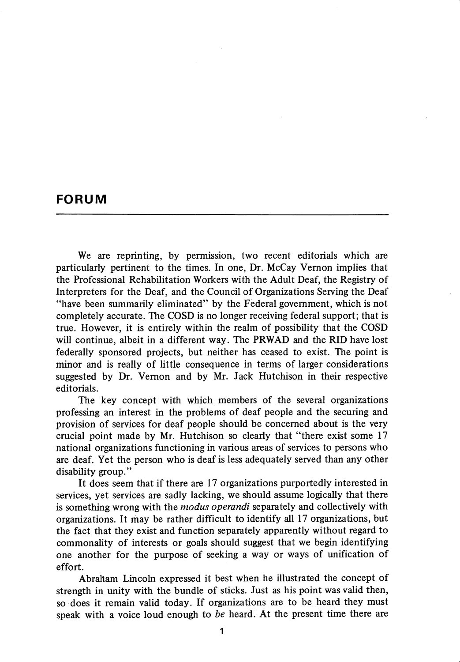## FORUM

We are reprinting, by permission, two recent editorials which are particularly pertinent to the times. In one. Dr. McCay Vernon implies that the Professional Rehabilitation Workers with the Adult Deaf, the Registry of Interpreters for the Deaf, and the Council of Organizations Serving the Deaf "have been summarily eliminated" by the Federal govemment, which is not completely accurate. The COSD is no longer receiving federal support; that is true. However, it is entirely within the realm of possibility that the COSD will continue, albeit in a different way. The PRWAD and the RID have lost federally sponsored projects, but neither has ceased to exist. The point is minor and is really of little consequence in terms of larger considerations suggested by Dr. Vemon and by Mr. Jack Hutchison in their respective editorials.

The key concept with which members of the several organizations professing an interest in the problems of deaf people and the securing and provision of services for deaf people should be concerned about is the very crucial point made by Mr. Hutchison so clearly that "there exist some 17 national organizations functioning in various areas of services to persons who are deaf. Yet the person who is deaf is less adequately served than any other disability group."

It does seem that if there are 17 organizations purportedly interested in services, yet services are sadly lacking, we should assume logically that there is something wrong with the *modus operandi* separately and collectively with organizations. It may be rather difficult to identify all 17 organizations, but the fact that they exist and function separately apparently without regard to commonality of interests or goals should suggest that we begin identifying one another for the purpose of seeking a way or ways of unification of effort.

Abraham Lincoln expressed it best when he illustrated the concept of strength in unity with the bundle of sticks. Just as his point was valid then, so does it remain valid today. If organizations are to be heard they must speak with a voice loud enough to be heard. At the present time there are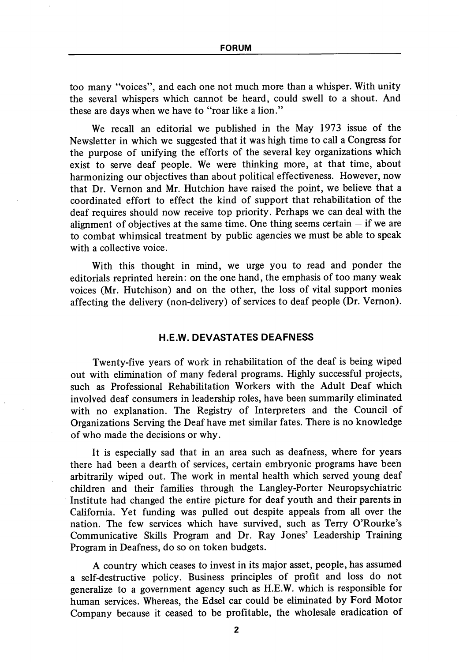too many "voices", and each one not much more than a whisper. With unity the several whispers which cannot be heard, could swell to a shout. And these are days when we have to "roar like a lion."

We recall an editorial we published in the May 1973 issue of the Newsletter in which we suggested that it was high time to call a Congress for the purpose of unifying the efforts of the several key organizations which exist to serve deaf people. We were thinking more, at that time, about harmonizing our objectives than about political effectiveness. However, now that Dr. Vemon and Mr. Hutchion have raised the point, we believe that a coordinated effort to effect the kind of support that rehabilitation of the deaf requires should now receive top priority. Perhaps we can deal with the alignment of objectives at the same time. One thing seems certain  $-$  if we are to combat whimsical treatment by public agencies we must be able to speak with a collective voice.

With this thought in mind, we urge you to read and ponder the editorials reprinted herein: on the one hand, the emphasis of too many weak voices (Mr. Hutchison) and on the other, the loss of vital support monies affecting the delivery (non-delivery) of services to deaf people (Dr. Vemon).

## H.E.W. DEVASTATES DEAFNESS

Twenty-five years of work in rehabilitation of the deaf is being wiped out with elimination of many federal programs. Highly successful projects, such as Professional Rehabilitation Workers with the Adult Deaf which involved deaf consumers in leadership roles, have been summarily eliminated with no explanation. The Registry of Interpreters and the Council of Organizations Serving the Deaf have met similar fates. There is no knowledge of who made the decisions or why.

It is especially sad that in an area such as deafness, where for years there had been a dearth of services, certain embryonic programs have been arbitrarily wiped out. The work in mental health which served young deaf children and their families through the Langley-Porter Neuropsychiatric Institute had changed the entire picture for deaf youth and their parents in Califomia. Yet funding was pulled out despite appeals from all over the nation. The few services which have survived, such as Terry O'Rourke's Communicative Skills Program and Dr. Ray Jones' Leadership Training Program in Deafness, do so on token budgets.

A country which ceases to invest in its major asset, people, has assumed a self-destructive policy. Business principles of profit and loss do not generalize to a government agency such as H.E.W. which is responsible for human services. Whereas, the Edsel car could be eliminated by Ford Motor Company because it ceased to be profitable, the wholesale eradication of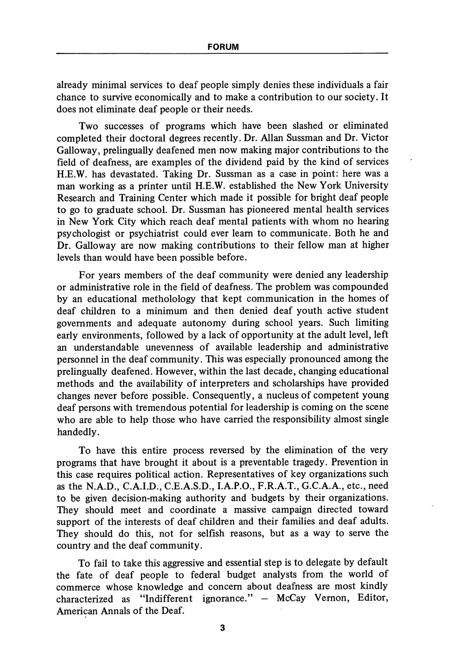already minimal services to deaf people simply denies these individuals a fair chance to survive economically and to make a contribution to our society. It does not eliminate deaf people or their needs.

Two successes of programs which have been slashed or eliminated completed their doctoral degrees recently. Dr. Allan Sussman and Dr. Victor Galloway, prelingually deafened men now making major contributions to the field of deafness, are examples of the dividend paid by the kind of services H.E.W. has devastated. Taking Dr. Sussman as a case in point: here was a man working as a printer until H.E.W. established the New York University Research and Training Center which made it possible for bright deaf people to go to graduate school. Dr. Sussman has pioneered mental health services in New York City which reach deaf mental patients with whom no hearing psychologist or psychiatrist could ever learn to communicate. Both he and Dr. Galloway are now making contributions to their fellow man at higher levels than would have been possible before.

For years members of the deaf community were denied any leadership or administrative role in the field of deafness. The problem was compounded by an educational metholology that kept communication in the homes of deaf children to a minimum and then denied deaf youth active student governments and adequate autonomy during school years. Such limiting early environments, followed by a lack of opportunity at the adult level, left an understandable unevenness of available leadership and administrative personnel in the deaf community. This was especially pronounced among the prelingually deafened. However, within the last decade, changing educational methods and the availability of interpreters and scholarships have provided changes never before possible. Consequently, a nucleus of competent young deaf persons with tremendous potential for leadership is coming on the scene who are able to help those who have carried the responsibility almost single handedly.

To have this entire process reversed by the elimination of the very programs that have brought it about is a preventable tragedy. Prevention in this case requires political action. Representatives of key organizations such as the N.A.D., C.A.I.D., C.E.A.S.D., I.A.P.O., F.R.A.T., G.C.A.A., etc., need to be given decision-making authority and budgets by their organizations. They should meet and coordinate a massive campaign directed toward support of the interests of deaf children and their families and deaf adults. They should do this, not for selfish reasons, but as a way to serve the country and the deaf community.

To fail to take this aggressive and essential step is to delegate by default the fate of deaf people to federal budget analysts from the world of commerce whose knowledge and concern about deafness are most kindly characterized as "Indifferent ignorance." — McCay Vemon, Editor, American Annals of the Deaf.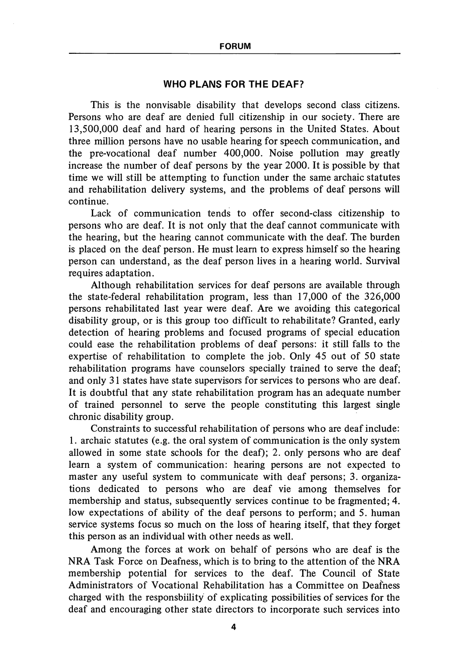## WHO PLANS FOR THE DEAF?

This is the nonvisable disability that develops second class citizens. Persons who are deaf are denied full citizenship in our society. There are 13,500,000 deaf and hard of hearing persons in the United States. About three million persons have no usable hearing for speech communication, and the pre-vocational deaf number 400,000. Noise pollution may greatly increase the number of deaf persons by the year 2000. It is possible by that time we will still be attempting to function under the same archaic statutes and rehabilitation delivery systems, and the problems of deaf persons will continue.

Lack of communication tends to offer second-class citizenship to persons who are deaf. It is not only that the deaf cannot communicate with the hearing, but the hearing cannot communicate with the deaf. The burden is placed on the deaf person. He must learn to express himself so the hearing person can understand, as the deaf person lives in a hearing world. Survival requires adaptation.

Although rehabilitation services for deaf persons are available through the state-federal rehabilitation program, less than 17,000 of the 326,000 persons rehabilitated last year were deaf. Are we avoiding this categorical disability group, or is this group too difficult to rehabilitate? Granted, early detection of hearing problems and focused programs of special education could ease the rehabilitation problems of deaf persons: it still falls to the expertise of rehabilitation to complete the job. Only 45 out of 50 state rehabilitation programs have counselors specially trained to serve the deaf; and only 31 states have state supervisors for services to persons who are deaf. It is doubtful that any state rehabilitation program has an adequate number of trained personnel to serve the people constituting this largest single chronic disability group.

Constraints to successful rehabilitation of persons who are deaf include: 1. archaic statutes (e.g. the oral system of communication is the only system allowed in some state schools for the deaf); 2. only persons who are deaf learn a system of communication: hearing persons are not expected to master any useful system to communicate with deaf persons; 3. organiza tions dedicated to persons who are deaf vie among themselves for membership and status, subsequently services continue to be fragmented; 4. low expectations of ability of the deaf persons to perform; and 5. human service systems focus so much on the loss of hearing itself, that they forget this person as an individual with other needs as well.

Among the forces at work on behalf of persons who are deaf is the NRA Task Force on Deafness, which is to bring to the attention of the NRA membership potential for services to the deaf. The Council of State Administrators of Vocational Rehabilitation has a Committee on Deafness charged with the responsbiility of explicating possibilities of services for the deaf and encouraging other state directors to incorporate such services into